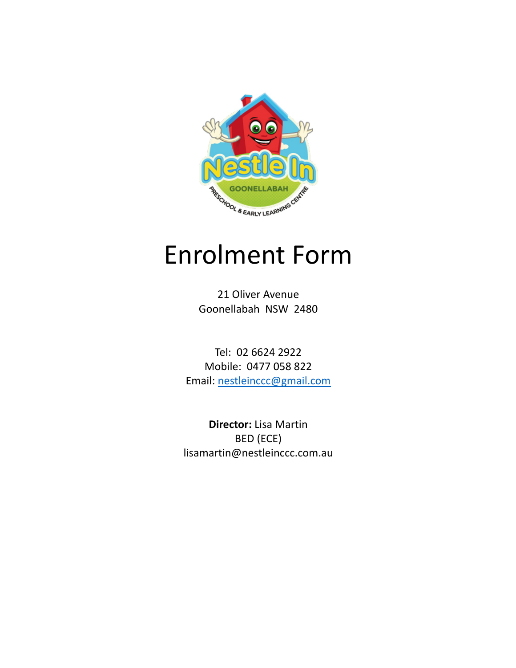

# **Enrolment Form**

21 Oliver Avenue Goonellabah NSW 2480

Tel: 02 6624 2922 Mobile: 0477 058 822 Email: nestleinccc@gmail.com

**Director:** Lisa Martin BED (ECE) lisamartin@nestleinccc.com.au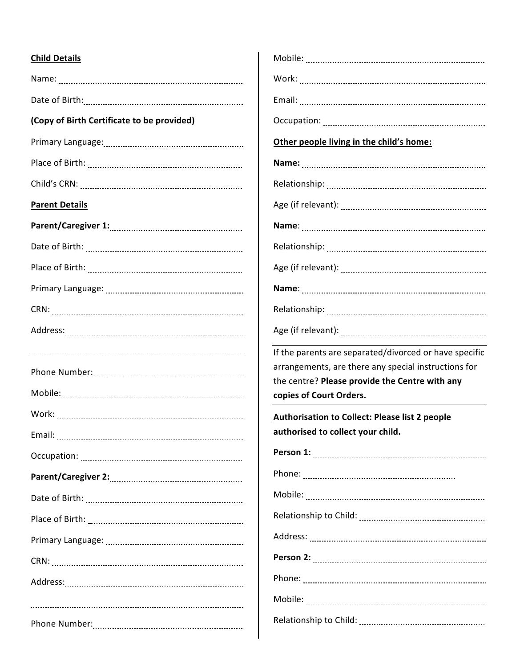## **Child Details**

| (Copy of Birth Certificate to be provided) |
|--------------------------------------------|
|                                            |
|                                            |
|                                            |
| <b>Parent Details</b>                      |
|                                            |
|                                            |
|                                            |
|                                            |
|                                            |
|                                            |
|                                            |
|                                            |
|                                            |
|                                            |
|                                            |
|                                            |
|                                            |
|                                            |
|                                            |
|                                            |
|                                            |
|                                            |
|                                            |
|                                            |

| Other people living in the child's home:                                                                                                                                                    |
|---------------------------------------------------------------------------------------------------------------------------------------------------------------------------------------------|
|                                                                                                                                                                                             |
|                                                                                                                                                                                             |
|                                                                                                                                                                                             |
|                                                                                                                                                                                             |
|                                                                                                                                                                                             |
|                                                                                                                                                                                             |
|                                                                                                                                                                                             |
|                                                                                                                                                                                             |
|                                                                                                                                                                                             |
| If the parents are separated/divorced or have specific<br>arrangements, are there any special instructions for<br>the centre? Please provide the Centre with any<br>copies of Court Orders. |
| <b>Authorisation to Collect: Please list 2 people</b><br>authorised to collect your child.                                                                                                  |
|                                                                                                                                                                                             |
|                                                                                                                                                                                             |
|                                                                                                                                                                                             |
|                                                                                                                                                                                             |
|                                                                                                                                                                                             |
|                                                                                                                                                                                             |
|                                                                                                                                                                                             |

Relationship to Child: 

Mobile: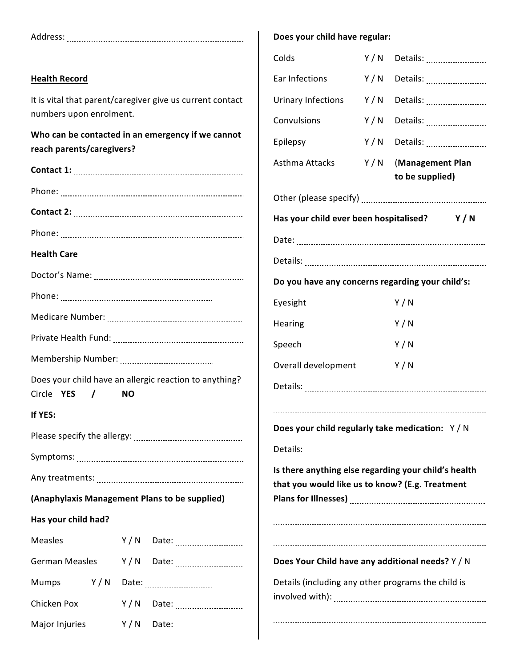|                                                                                                        | Does your child have regular: |                                                                                                                  |
|--------------------------------------------------------------------------------------------------------|-------------------------------|------------------------------------------------------------------------------------------------------------------|
|                                                                                                        | Colds                         |                                                                                                                  |
| <b>Health Record</b>                                                                                   | Ear Infections                | Y/N Details:                                                                                                     |
| It is vital that parent/caregiver give us current contact                                              | Urinary Infections            | Y/N                                                                                                              |
| numbers upon enrolment.                                                                                | Convulsions                   | Y / N<br>Details:                                                                                                |
| Who can be contacted in an emergency if we cannot<br>reach parents/caregivers?                         | Epilepsy                      |                                                                                                                  |
|                                                                                                        | Asthma Attacks                | Y/N (Management Plan<br>to be supplied)                                                                          |
|                                                                                                        |                               |                                                                                                                  |
|                                                                                                        |                               | Has your child ever been hospitalised? Y/N                                                                       |
|                                                                                                        |                               |                                                                                                                  |
| <b>Health Care</b>                                                                                     |                               |                                                                                                                  |
|                                                                                                        |                               | Do you have any concerns regarding your child's:                                                                 |
|                                                                                                        | Eyesight                      | Y/N                                                                                                              |
|                                                                                                        | Hearing                       | Y/N                                                                                                              |
|                                                                                                        | Speech                        | Y/N                                                                                                              |
|                                                                                                        | Overall development           | Y/N                                                                                                              |
| Does your child have an allergic reaction to anything?<br>Circle <b>YES</b><br>$\sqrt{ }$<br><b>NO</b> |                               |                                                                                                                  |
| If YES:                                                                                                |                               |                                                                                                                  |
|                                                                                                        |                               | Does your child regularly take medication: Y/N                                                                   |
|                                                                                                        |                               |                                                                                                                  |
|                                                                                                        |                               | Is there anything else regarding your child's health<br>that you would like us to know? (E.g. Treatment          |
| (Anaphylaxis Management Plans to be supplied)                                                          |                               | Plans for Illnesses) [111] [2012] [2012] [2012] [2012] [2012] [2012] [2012] [2012] [2012] [2012] [2012] [2012] [ |
| Has your child had?                                                                                    |                               |                                                                                                                  |
| Y/N Date:<br><b>Measles</b>                                                                            |                               |                                                                                                                  |
| <b>German Measles</b><br>Y/N Date:                                                                     |                               | Does Your Child have any additional needs? Y / N                                                                 |
| Y/N<br>Mumps<br>Date: _________________________                                                        |                               | Details (including any other programs the child is                                                               |
| Chicken Pox<br>Y / N                                                                                   |                               |                                                                                                                  |
| Major Injuries                                                                                         |                               |                                                                                                                  |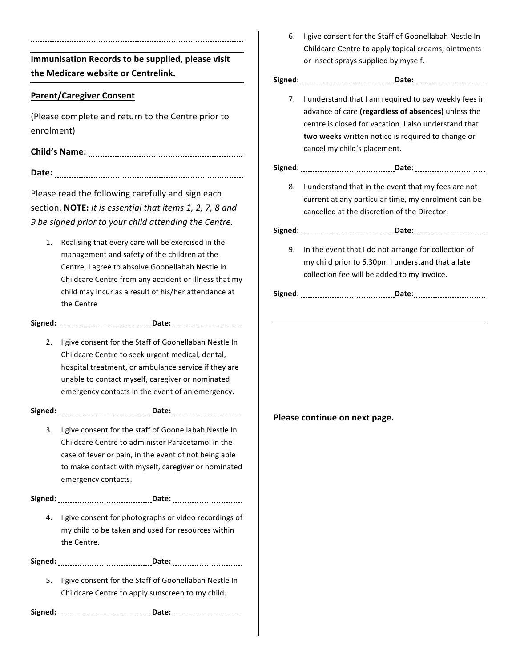**Immunisation Records to be supplied, please visit the Medicare website or Centrelink.**

### **Parent/Caregiver Consent**

(Please complete and return to the Centre prior to enrolment)

**Child's Name: Date:** 

Please read the following carefully and sign each section. **NOTE:** It is essential that items 1, 2, 7, 8 and *9 be signed prior to your child attending the Centre.*

1. Realising that every care will be exercised in the management and safety of the children at the Centre, I agree to absolve Goonellabah Nestle In Childcare Centre from any accident or illness that my child may incur as a result of his/her attendance at the Centre

**Signed: Date:** 

2. I give consent for the Staff of Goonellabah Nestle In Childcare Centre to seek urgent medical, dental, hospital treatment, or ambulance service if they are unable to contact myself, caregiver or nominated emergency contacts in the event of an emergency.

**Signed: Date:** 

3. I give consent for the staff of Goonellabah Nestle In Childcare Centre to administer Paracetamol in the case of fever or pain, in the event of not being able to make contact with myself, caregiver or nominated emergency contacts.

**Signed: Date:** 

4. I give consent for photographs or video recordings of my child to be taken and used for resources within the Centre.

**Signed: Date:** 

5. I give consent for the Staff of Goonellabah Nestle In Childcare Centre to apply sunscreen to my child.

**Signed: Date:** 

6. I give consent for the Staff of Goonellabah Nestle In Childcare Centre to apply topical creams, ointments or insect sprays supplied by myself.

**Signed: Date:** 

7. I understand that I am required to pay weekly fees in advance of care (regardless of absences) unless the centre is closed for vacation. I also understand that **two weeks** written notice is required to change or cancel my child's placement.

#### **Signed: Date:**

8. I understand that in the event that my fees are not current at any particular time, my enrolment can be cancelled at the discretion of the Director.

| - 1 |  |
|-----|--|
|     |  |
|     |  |

9. In the event that I do not arrange for collection of my child prior to 6.30pm I understand that a late collection fee will be added to my invoice.

| <br>Sıg |                                 |
|---------|---------------------------------|
|         |                                 |
|         | ------------------------------- |

#### **Please continue on next page.**